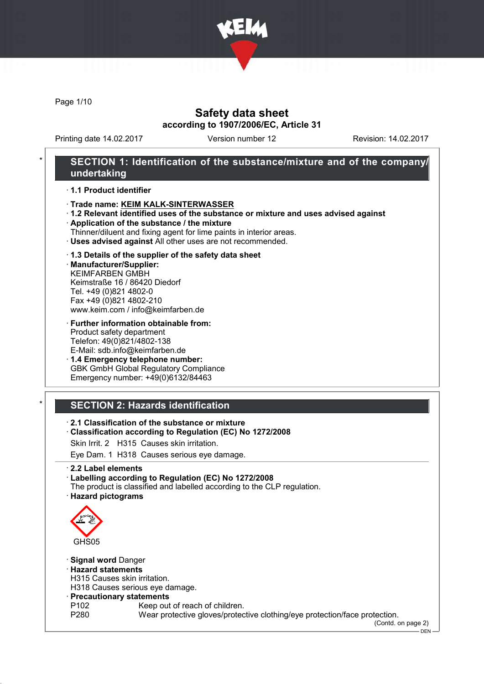

Page 1/10

### Safety data sheet according to 1907/2006/EC, Article 31

Printing date 14.02.2017 Version number 12 Revision: 14.02.2017

### SECTION 1: Identification of the substance/mixture and of the company/ undertaking

#### · 1.1 Product identifier

- · Trade name: KEIM KALK-SINTERWASSER
- · 1.2 Relevant identified uses of the substance or mixture and uses advised against
- · Application of the substance / the mixture
- Thinner/diluent and fixing agent for lime paints in interior areas.
- · Uses advised against All other uses are not recommended.

#### · 1.3 Details of the supplier of the safety data sheet

· Manufacturer/Supplier: KEIMFARBEN GMBH Keimstraße 16 / 86420 Diedorf Tel. +49 (0)821 4802-0 Fax +49 (0)821 4802-210 www.keim.com / info@keimfarben.de

· Further information obtainable from: Product safety department Telefon: 49(0)821/4802-138 E-Mail: sdb.info@keimfarben.de

· 1.4 Emergency telephone number: GBK GmbH Global Regulatory Compliance Emergency number: +49(0)6132/84463

## **SECTION 2: Hazards identification**

### · 2.1 Classification of the substance or mixture

· Classification according to Regulation (EC) No 1272/2008

Skin Irrit. 2 H315 Causes skin irritation.

Eye Dam. 1 H318 Causes serious eye damage.

· 2.2 Label elements

- · Labelling according to Regulation (EC) No 1272/2008
- The product is classified and labelled according to the CLP regulation.
- · Hazard pictograms



- · Signal word Danger
- · Hazard statements
- H315 Causes skin irritation.

H318 Causes serious eye damage.

- · Precautionary statements
- P102 Keep out of reach of children.<br>P280 Wear protective gloves/protec
- Wear protective gloves/protective clothing/eye protection/face protection.

(Contd. on page 2)

DEN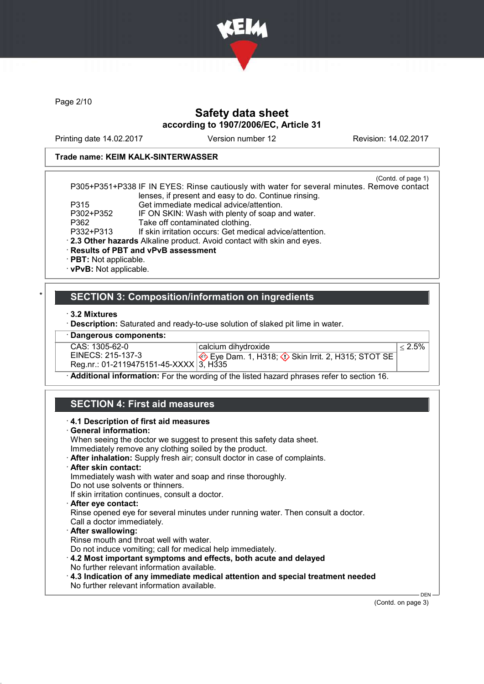

Page 2/10

### Safety data sheet according to 1907/2006/EC, Article 31

Printing date 14.02.2017 Version number 12 Revision: 14.02.2017

### Trade name: KEIM KALK-SINTERWASSER

(Contd. of page 1) P305+P351+P338 IF IN EYES: Rinse cautiously with water for several minutes. Remove contact lenses, if present and easy to do. Continue rinsing. P315 Get immediate medical advice/attention.<br>P302+P352 IF ON SKIN: Wash with plenty of soap are P302+P352 IF ON SKIN: Wash with plenty of soap and water.<br>P362 Take off contaminated clothing. P362 Take off contaminated clothing.<br>P332+P313 If skin irritation occurs: Get med If skin irritation occurs: Get medical advice/attention. · 2.3 Other hazards Alkaline product. Avoid contact with skin and eyes.

- · Results of PBT and vPvB assessment
- · PBT: Not applicable.
- · vPvB: Not applicable.

### **SECTION 3: Composition/information on ingredients**

· 3.2 Mixtures

Description: Saturated and ready-to-use solution of slaked pit lime in water.

| · Dangerous components:                |                                                                                                               |           |
|----------------------------------------|---------------------------------------------------------------------------------------------------------------|-----------|
| CAS: 1305-62-0                         | calcium dihydroxide                                                                                           | $< 2.5\%$ |
| EINECS: 215-137-3                      | $\Leftrightarrow$ Eye Dam. 1, H318; $\Leftrightarrow$ Skin Irrit. 2, H315; STOT SE                            |           |
| Reg.nr.: 01-2119475151-45-XXXX 3, H335 |                                                                                                               |           |
|                                        | A والمتحدث على ما وعليم من من والماد المناطق المناطق المناطق و من المناطق المناطق المناطق المناطق A و المناطق |           |

· Additional information: For the wording of the listed hazard phrases refer to section 16.

### SECTION 4: First aid measures

#### · 4.1 Description of first aid measures

· General information:

When seeing the doctor we suggest to present this safety data sheet. Immediately remove any clothing soiled by the product.

- · After inhalation: Supply fresh air; consult doctor in case of complaints.
- After skin contact:

Immediately wash with water and soap and rinse thoroughly.

- Do not use solvents or thinners.
- If skin irritation continues, consult a doctor.

#### After eve contact:

Rinse opened eye for several minutes under running water. Then consult a doctor. Call a doctor immediately.

- · After swallowing:
- Rinse mouth and throat well with water.

Do not induce vomiting; call for medical help immediately.

- · 4.2 Most important symptoms and effects, both acute and delayed
- No further relevant information available.
- · 4.3 Indication of any immediate medical attention and special treatment needed No further relevant information available.

(Contd. on page 3)

**DEN**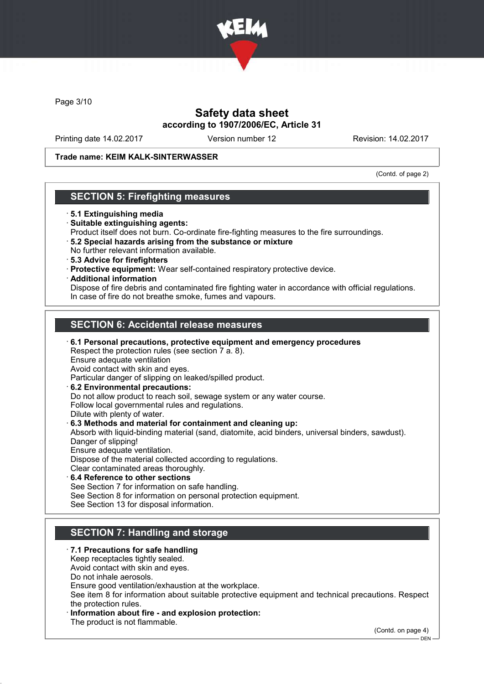

Page 3/10

### Safety data sheet according to 1907/2006/EC, Article 31

Printing date 14.02.2017 Version number 12 Revision: 14.02.2017

### Trade name: KEIM KALK-SINTERWASSER

(Contd. of page 2)

### SECTION 5: Firefighting measures

- · 5.1 Extinguishing media
- · Suitable extinguishing agents:
- Product itself does not burn. Co-ordinate fire-fighting measures to the fire surroundings.
- · 5.2 Special hazards arising from the substance or mixture No further relevant information available.
- · 5.3 Advice for firefighters
- · Protective equipment: Wear self-contained respiratory protective device.
- · Additional information

Dispose of fire debris and contaminated fire fighting water in accordance with official regulations. In case of fire do not breathe smoke, fumes and vapours.

## SECTION 6: Accidental release measures

· 6.1 Personal precautions, protective equipment and emergency procedures Respect the protection rules (see section 7 a. 8). Ensure adequate ventilation Avoid contact with skin and eyes. Particular danger of slipping on leaked/spilled product. · 6.2 Environmental precautions: Do not allow product to reach soil, sewage system or any water course. Follow local governmental rules and regulations. Dilute with plenty of water. · 6.3 Methods and material for containment and cleaning up: Absorb with liquid-binding material (sand, diatomite, acid binders, universal binders, sawdust). Danger of slipping! Ensure adequate ventilation. Dispose of the material collected according to regulations. Clear contaminated areas thoroughly. 6.4 Reference to other sections See Section 7 for information on safe handling.

See Section 8 for information on personal protection equipment. See Section 13 for disposal information.

## SECTION 7: Handling and storage

#### · 7.1 Precautions for safe handling

Keep receptacles tightly sealed.

Avoid contact with skin and eyes.

Do not inhale aerosols.

Ensure good ventilation/exhaustion at the workplace.

See item 8 for information about suitable protective equipment and technical precautions. Respect the protection rules.

Information about fire - and explosion protection:

The product is not flammable.

(Contd. on page 4)

 $-DEN$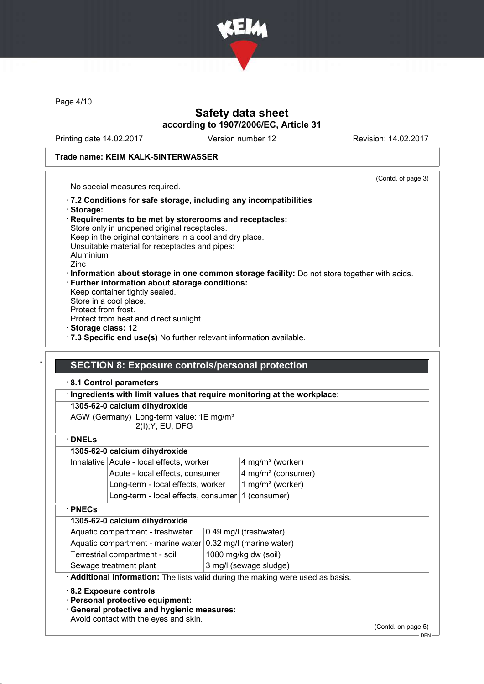

Page 4/10

### Safety data sheet according to 1907/2006/EC, Article 31

Printing date 14.02.2017 Version number 12 Revision: 14.02.2017

(Contd. of page 3)

### Trade name: KEIM KALK-SINTERWASSER

No special measures required.

- · 7.2 Conditions for safe storage, including any incompatibilities · Storage:
- · Requirements to be met by storerooms and receptacles: Store only in unopened original receptacles. Keep in the original containers in a cool and dry place. Unsuitable material for receptacles and pipes: Aluminium Zinc · Information about storage in one common storage facility: Do not store together with acids. · Further information about storage conditions:
- Keep container tightly sealed. Store in a cool place. Protect from frost. Protect from heat and direct sunlight. · Storage class: 12
- · 7.3 Specific end use(s) No further relevant information available.

### **SECTION 8: Exposure controls/personal protection**

#### · 8.1 Control parameters

#### · Ingredients with limit values that require monitoring at the workplace:

|  |  | 1305-62-0 calcium dihydroxide |
|--|--|-------------------------------|
|--|--|-------------------------------|

AGW (Germany) Long-term value: 1E mg/m<sup>3</sup> 2(I);Y, EU, DFG

· DNELs

### 1305-62-0 calcium dihydroxide

| Inhalative Acute - local effects, worker         | $4$ mg/m <sup>3</sup> (worker)       |
|--------------------------------------------------|--------------------------------------|
| Acute - local effects, consumer                  | $4$ mg/m <sup>3</sup> (consumer)     |
| Long-term - local effects, worker                | $\vert$ 1 mg/m <sup>3</sup> (worker) |
| Long-term - local effects, consumer 1 (consumer) |                                      |
|                                                  |                                      |

#### · PNECs

### 1305-62-0 calcium dihydroxide

|                                | Aquatic compartment - freshwater                              | $\vert$ 0.49 mg/l (freshwater) |
|--------------------------------|---------------------------------------------------------------|--------------------------------|
|                                | Aquatic compartment - marine water   0.32 mg/l (marine water) |                                |
| Terrestrial compartment - soil |                                                               | 1080 mg/kg dw (soil)           |
|                                | Sewage treatment plant                                        | 3 mg/l (sewage sludge)         |

· Additional information: The lists valid during the making were used as basis.

· 8.2 Exposure controls

· Personal protective equipment:

· General protective and hygienic measures:

Avoid contact with the eyes and skin.

(Contd. on page 5)

 $-$  DEN -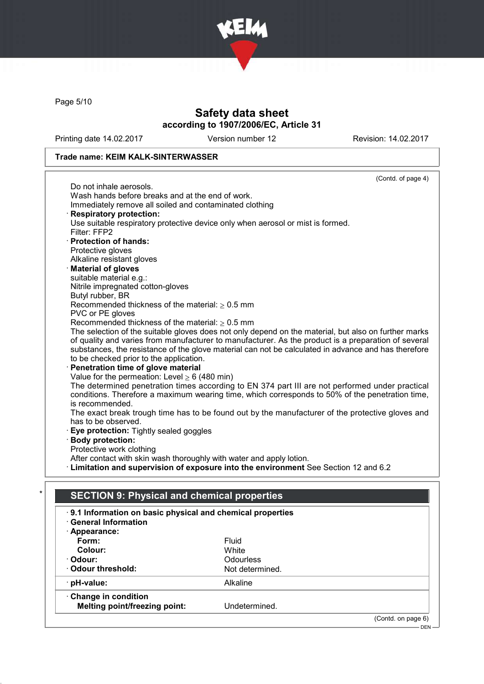

Page 5/10

## Safety data sheet according to 1907/2006/EC, Article 31

Printing date 14.02.2017 Version number 12 Revision: 14.02.2017

### Trade name: KEIM KALK-SINTERWASSER

|                                                                      | (Contd. of page 4)                                                                                   |
|----------------------------------------------------------------------|------------------------------------------------------------------------------------------------------|
| Do not inhale aerosols.                                              |                                                                                                      |
| Wash hands before breaks and at the end of work.                     |                                                                                                      |
| Immediately remove all soiled and contaminated clothing              |                                                                                                      |
| <b>Respiratory protection:</b>                                       |                                                                                                      |
|                                                                      | Use suitable respiratory protective device only when aerosol or mist is formed.                      |
| Filter: FFP2                                                         |                                                                                                      |
| · Protection of hands:                                               |                                                                                                      |
| Protective gloves                                                    |                                                                                                      |
| Alkaline resistant gloves                                            |                                                                                                      |
| · Material of gloves                                                 |                                                                                                      |
| suitable material e.g.:                                              |                                                                                                      |
| Nitrile impregnated cotton-gloves                                    |                                                                                                      |
| Butyl rubber, BR                                                     |                                                                                                      |
| Recommended thickness of the material: $\geq 0.5$ mm                 |                                                                                                      |
| PVC or PE gloves                                                     |                                                                                                      |
| Recommended thickness of the material: $\geq 0.5$ mm                 |                                                                                                      |
|                                                                      | The selection of the suitable gloves does not only depend on the material, but also on further marks |
|                                                                      | of quality and varies from manufacturer to manufacturer. As the product is a preparation of several  |
| to be checked prior to the application.                              | substances, the resistance of the glove material can not be calculated in advance and has therefore  |
| Penetration time of glove material                                   |                                                                                                      |
| Value for the permeation: Level $\geq 6$ (480 min)                   |                                                                                                      |
|                                                                      | The determined penetration times according to EN 374 part III are not performed under practical      |
|                                                                      | conditions. Therefore a maximum wearing time, which corresponds to 50% of the penetration time,      |
| is recommended.                                                      |                                                                                                      |
|                                                                      | The exact break trough time has to be found out by the manufacturer of the protective gloves and     |
| has to be observed.                                                  |                                                                                                      |
| Eye protection: Tightly sealed goggles                               |                                                                                                      |
| <b>Body protection:</b>                                              |                                                                                                      |
| Protective work clothing                                             |                                                                                                      |
| After contact with skin wash thoroughly with water and apply lotion. |                                                                                                      |
|                                                                      | · Limitation and supervision of exposure into the environment See Section 12 and 6.2                 |
|                                                                      |                                                                                                      |
|                                                                      |                                                                                                      |
| <b>SECTION 9: Physical and chemical properties</b>                   |                                                                                                      |
| 9.1 Information on basic physical and chemical properties            |                                                                                                      |
| <b>General Information</b>                                           |                                                                                                      |
| · Appearance:                                                        |                                                                                                      |
| Form:                                                                | Fluid                                                                                                |
| Colour:                                                              | White                                                                                                |
| · Odour:                                                             | Odourless                                                                                            |
| Odour threshold:                                                     | Not determined.                                                                                      |
| pH-value:                                                            | Alkaline                                                                                             |
|                                                                      |                                                                                                      |
| Change in condition                                                  |                                                                                                      |
| <b>Melting point/freezing point:</b>                                 | Undetermined.                                                                                        |
|                                                                      | (Contd. on page 6)                                                                                   |
|                                                                      | $DEN -$                                                                                              |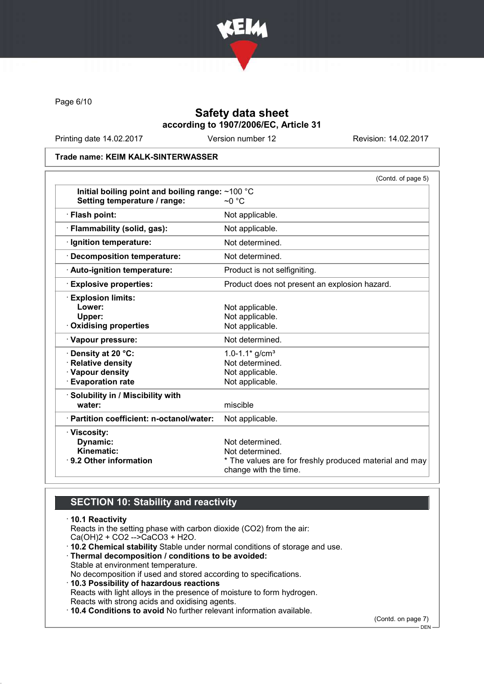

Page 6/10

## Safety data sheet according to 1907/2006/EC, Article 31

Printing date 14.02.2017 Version number 12 Revision: 14.02.2017

#### Trade name: KEIM KALK-SINTERWASSER

|                                                  | (Contd. of page 5)                                                              |
|--------------------------------------------------|---------------------------------------------------------------------------------|
| Initial boiling point and boiling range: ~100 °C |                                                                                 |
| Setting temperature / range:                     | $\sim$ 0 °C                                                                     |
| · Flash point:                                   | Not applicable.                                                                 |
| · Flammability (solid, gas):                     | Not applicable.                                                                 |
| · Ignition temperature:                          | Not determined.                                                                 |
| · Decomposition temperature:                     | Not determined.                                                                 |
| · Auto-ignition temperature:                     | Product is not selfigniting.                                                    |
| <b>Explosive properties:</b>                     | Product does not present an explosion hazard.                                   |
| · Explosion limits:                              |                                                                                 |
| Lower:                                           | Not applicable.                                                                 |
| Upper:                                           | Not applicable.                                                                 |
| Oxidising properties                             | Not applicable.                                                                 |
| · Vapour pressure:                               | Not determined.                                                                 |
| · Density at 20 °C:                              | 1.0-1.1 $*$ g/cm <sup>3</sup>                                                   |
| · Relative density                               | Not determined.                                                                 |
| · Vapour density                                 | Not applicable.                                                                 |
| <b>Evaporation rate</b>                          | Not applicable.                                                                 |
| · Solubility in / Miscibility with               |                                                                                 |
| water:                                           | miscible                                                                        |
| · Partition coefficient: n-octanol/water:        | Not applicable.                                                                 |
| · Viscosity:                                     |                                                                                 |
| Dynamic:                                         | Not determined.                                                                 |
| Kinematic:                                       | Not determined.                                                                 |
| ⋅ 9.2 Other information                          | * The values are for freshly produced material and may<br>change with the time. |

## SECTION 10: Stability and reactivity

### · 10.1 Reactivity Reacts in the setting phase with carbon dioxide (CO2) from the air: Ca(OH)2 + CO2 -->CaCO3 + H2O. · 10.2 Chemical stability Stable under normal conditions of storage and use. · Thermal decomposition / conditions to be avoided: Stable at environment temperature. No decomposition if used and stored according to specifications. · 10.3 Possibility of hazardous reactions Reacts with light alloys in the presence of moisture to form hydrogen. Reacts with strong acids and oxidising agents.

· 10.4 Conditions to avoid No further relevant information available.

(Contd. on page 7)

DEN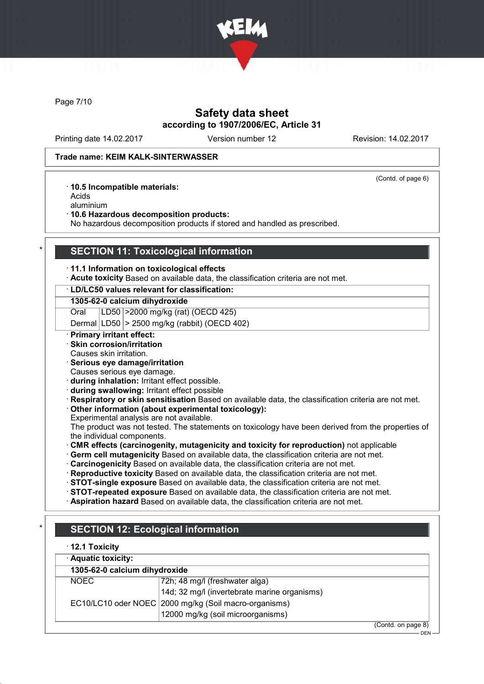

Page 7/10

### Safety data sheet according to 1907/2006/EC, Article 31

Printing date 14.02.2017 Version number 12 Revision: 14.02.2017

(Contd. of page 6)

### Trade name: KEIM KALK-SINTERWASSER

· 10.5 Incompatible materials:

Acids

aluminium

· 10.6 Hazardous decomposition products:

No hazardous decomposition products if stored and handled as prescribed.

### **SECTION 11: Toxicological information**

#### · 11.1 Information on toxicological effects

· Acute toxicity Based on available data, the classification criteria are not met.

### · LD/LC50 values relevant for classification:

#### 1305-62-0 calcium dihydroxide

Oral LD50 >2000 mg/kg (rat) (OECD 425)

Dermal LD50 > 2500 mg/kg (rabbit) (OECD 402)

### · Primary irritant effect:

- · Skin corrosion/irritation
- Causes skin irritation.
- · Serious eye damage/irritation
- Causes serious eye damage.
- · during inhalation: Irritant effect possible.
- · during swallowing: Irritant effect possible
- · Respiratory or skin sensitisation Based on available data, the classification criteria are not met.

### · Other information (about experimental toxicology):

Experimental analysis are not available.

The product was not tested. The statements on toxicology have been derived from the properties of the individual components.

CMR effects (carcinogenity, mutagenicity and toxicity for reproduction) not applicable

· Germ cell mutagenicity Based on available data, the classification criteria are not met.

· Carcinogenicity Based on available data, the classification criteria are not met.

· Reproductive toxicity Based on available data, the classification criteria are not met.

· STOT-single exposure Based on available data, the classification criteria are not met.

- · STOT-repeated exposure Based on available data, the classification criteria are not met.
- · Aspiration hazard Based on available data, the classification criteria are not met.

| $\cdot$ 12.1 Toxicity         |                                                       |  |
|-------------------------------|-------------------------------------------------------|--|
| · Aquatic toxicity:           |                                                       |  |
| 1305-62-0 calcium dihydroxide |                                                       |  |
| <b>NOEC</b>                   | 72h; 48 mg/l (freshwater alga)                        |  |
|                               | 14d; 32 mg/l (invertebrate marine organisms)          |  |
|                               | EC10/LC10 oder NOEC 2000 mg/kg (Soil macro-organisms) |  |
|                               | 12000 mg/kg (soil microorganisms)                     |  |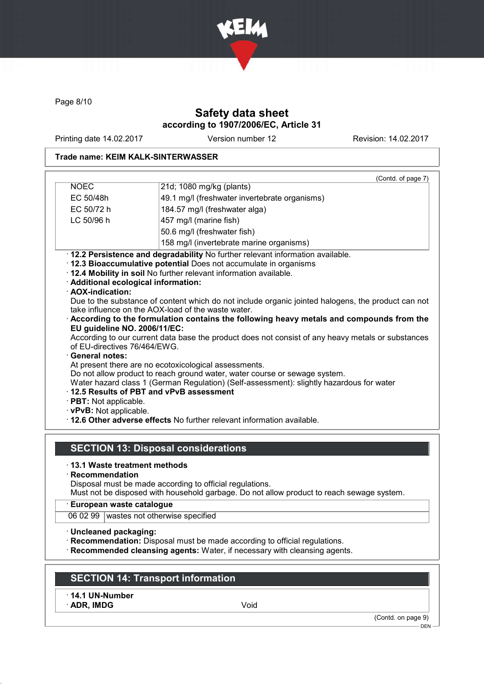

Page 8/10

## Safety data sheet according to 1907/2006/EC, Article 31

Printing date 14.02.2017 Version number 12 Revision: 14.02.2017

### Trade name: KEIM KALK-SINTERWASSER

|                                                                                                                                                                                                                                               | (Contd. of page 7)                                                                                                                                                                                                                                                                                                                                                                                                                                                                                                                                                                                                                                                                                                                                                                                                                                                                                   |  |  |
|-----------------------------------------------------------------------------------------------------------------------------------------------------------------------------------------------------------------------------------------------|------------------------------------------------------------------------------------------------------------------------------------------------------------------------------------------------------------------------------------------------------------------------------------------------------------------------------------------------------------------------------------------------------------------------------------------------------------------------------------------------------------------------------------------------------------------------------------------------------------------------------------------------------------------------------------------------------------------------------------------------------------------------------------------------------------------------------------------------------------------------------------------------------|--|--|
| <b>NOEC</b>                                                                                                                                                                                                                                   | 21d; 1080 mg/kg (plants)                                                                                                                                                                                                                                                                                                                                                                                                                                                                                                                                                                                                                                                                                                                                                                                                                                                                             |  |  |
| EC 50/48h                                                                                                                                                                                                                                     | 49.1 mg/l (freshwater invertebrate organisms)                                                                                                                                                                                                                                                                                                                                                                                                                                                                                                                                                                                                                                                                                                                                                                                                                                                        |  |  |
| EC 50/72 h                                                                                                                                                                                                                                    | 184.57 mg/l (freshwater alga)                                                                                                                                                                                                                                                                                                                                                                                                                                                                                                                                                                                                                                                                                                                                                                                                                                                                        |  |  |
| LC 50/96 h<br>457 mg/l (marine fish)                                                                                                                                                                                                          |                                                                                                                                                                                                                                                                                                                                                                                                                                                                                                                                                                                                                                                                                                                                                                                                                                                                                                      |  |  |
|                                                                                                                                                                                                                                               | 50.6 mg/l (freshwater fish)                                                                                                                                                                                                                                                                                                                                                                                                                                                                                                                                                                                                                                                                                                                                                                                                                                                                          |  |  |
|                                                                                                                                                                                                                                               | 158 mg/l (invertebrate marine organisms)                                                                                                                                                                                                                                                                                                                                                                                                                                                                                                                                                                                                                                                                                                                                                                                                                                                             |  |  |
| · Additional ecological information:<br>· AOX-indication:<br>EU guideline NO. 2006/11/EC:<br>of EU-directives 76/464/EWG.<br>· General notes:<br>12.5 Results of PBT and vPvB assessment<br>· PBT: Not applicable.<br>· vPvB: Not applicable. | · 12.2 Persistence and degradability No further relevant information available.<br>· 12.3 Bioaccumulative potential Does not accumulate in organisms<br>. 12.4 Mobility in soil No further relevant information available.<br>Due to the substance of content which do not include organic jointed halogens, the product can not<br>take influence on the AOX-load of the waste water.<br>According to the formulation contains the following heavy metals and compounds from the<br>According to our current data base the product does not consist of any heavy metals or substances<br>At present there are no ecotoxicological assessments.<br>Do not allow product to reach ground water, water course or sewage system.<br>Water hazard class 1 (German Regulation) (Self-assessment): slightly hazardous for water<br>. 12.6 Other adverse effects No further relevant information available. |  |  |
|                                                                                                                                                                                                                                               | <b>SECTION 13: Disposal considerations</b>                                                                                                                                                                                                                                                                                                                                                                                                                                                                                                                                                                                                                                                                                                                                                                                                                                                           |  |  |
| ⋅13.1 Waste treatment methods<br>$\cdot$ Recommendation                                                                                                                                                                                       | Disposal must be made according to official regulations.<br>Must not be disposed with household garbage. Do not allow product to reach sewage system.                                                                                                                                                                                                                                                                                                                                                                                                                                                                                                                                                                                                                                                                                                                                                |  |  |
| · European waste catalogue                                                                                                                                                                                                                    |                                                                                                                                                                                                                                                                                                                                                                                                                                                                                                                                                                                                                                                                                                                                                                                                                                                                                                      |  |  |
| 06 02 99 wastes not otherwise specified                                                                                                                                                                                                       |                                                                                                                                                                                                                                                                                                                                                                                                                                                                                                                                                                                                                                                                                                                                                                                                                                                                                                      |  |  |

· Uncleaned packaging:

· Recommendation: Disposal must be made according to official regulations.

· Recommended cleansing agents: Water, if necessary with cleansing agents.

## SECTION 14: Transport information

· 14.1 UN-Number

· ADR, IMDG Void

(Contd. on page 9)

 $-$  DEN -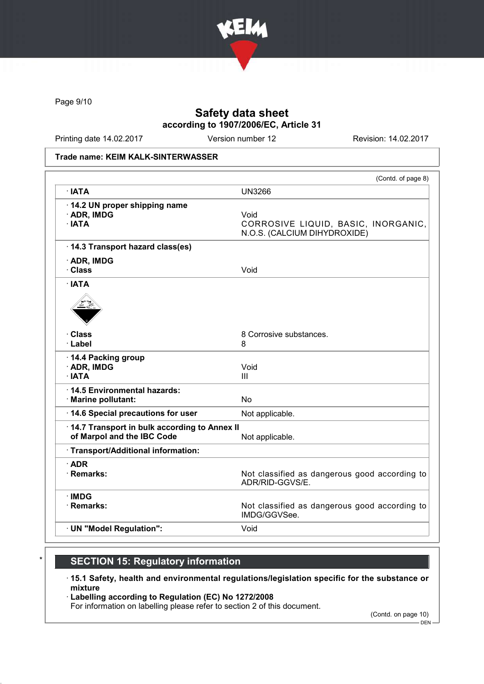

Page 9/10

## Safety data sheet according to 1907/2006/EC, Article 31

Printing date 14.02.2017 Version number 12 Revision: 14.02.2017

#### Trade name: KEIM KALK-SINTERWASSER

|                                                                            | (Contd. of page 8)                                                          |
|----------------------------------------------------------------------------|-----------------------------------------------------------------------------|
| $\cdot$ IATA                                                               | <b>UN3266</b>                                                               |
| 14.2 UN proper shipping name<br>· ADR, IMDG<br>$\cdot$ IATA                | Void<br>CORROSIVE LIQUID, BASIC, INORGANIC,<br>N.O.S. (CALCIUM DIHYDROXIDE) |
| · 14.3 Transport hazard class(es)                                          |                                                                             |
| $\cdot$ ADR, IMDG<br>· Class                                               | Void                                                                        |
| $\cdot$ IATA                                                               |                                                                             |
| · Class                                                                    | 8 Corrosive substances.                                                     |
| · Label                                                                    | 8                                                                           |
| 14.4 Packing group<br>· ADR, IMDG<br>$\cdot$ IATA                          | Void<br>III                                                                 |
| 14.5 Environmental hazards:<br>· Marine pollutant:                         | <b>No</b>                                                                   |
| 14.6 Special precautions for user                                          | Not applicable.                                                             |
| 14.7 Transport in bulk according to Annex II<br>of Marpol and the IBC Code | Not applicable.                                                             |
| · Transport/Additional information:                                        |                                                                             |
| $\cdot$ ADR<br>· Remarks:                                                  | Not classified as dangerous good according to<br>ADR/RID-GGVS/E.            |
| $\cdot$ IMDG<br>· Remarks:                                                 | Not classified as dangerous good according to<br>IMDG/GGVSee.               |
| · UN "Model Regulation":                                                   | Void                                                                        |

# **SECTION 15: Regulatory information**

- · 15.1 Safety, health and environmental regulations/legislation specific for the substance or mixture
- · Labelling according to Regulation (EC) No 1272/2008
- For information on labelling please refer to section 2 of this document.

(Contd. on page 10)

DEN